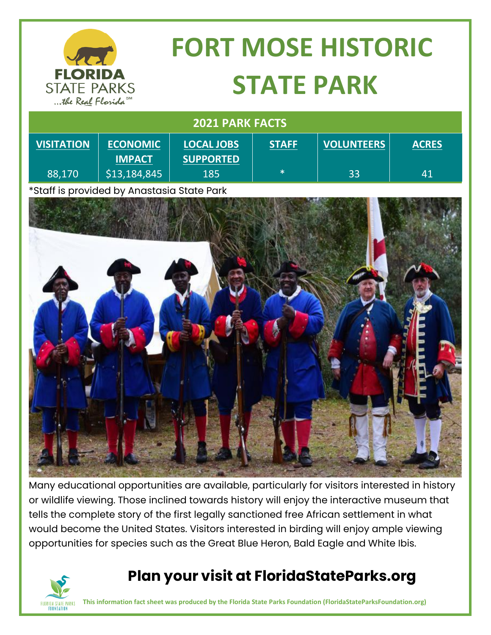

\*Staff is provided by Anastasia State Park



Many educational opportunities are available, particularly for visitors interested in history or wildlife viewing. Those inclined towards history will enjoy the interactive museum that tells the complete story of the first legally sanctioned free African settlement in what would become the United States. Visitors interested in birding will enjoy ample viewing opportunities for species such as the Great Blue Heron, Bald Eagle and White Ibis.



## **Plan your visit at FloridaStateParks.org**

**This information fact sheet was produced by the Florida State Parks Foundation (FloridaStateParksFoundation.org)**